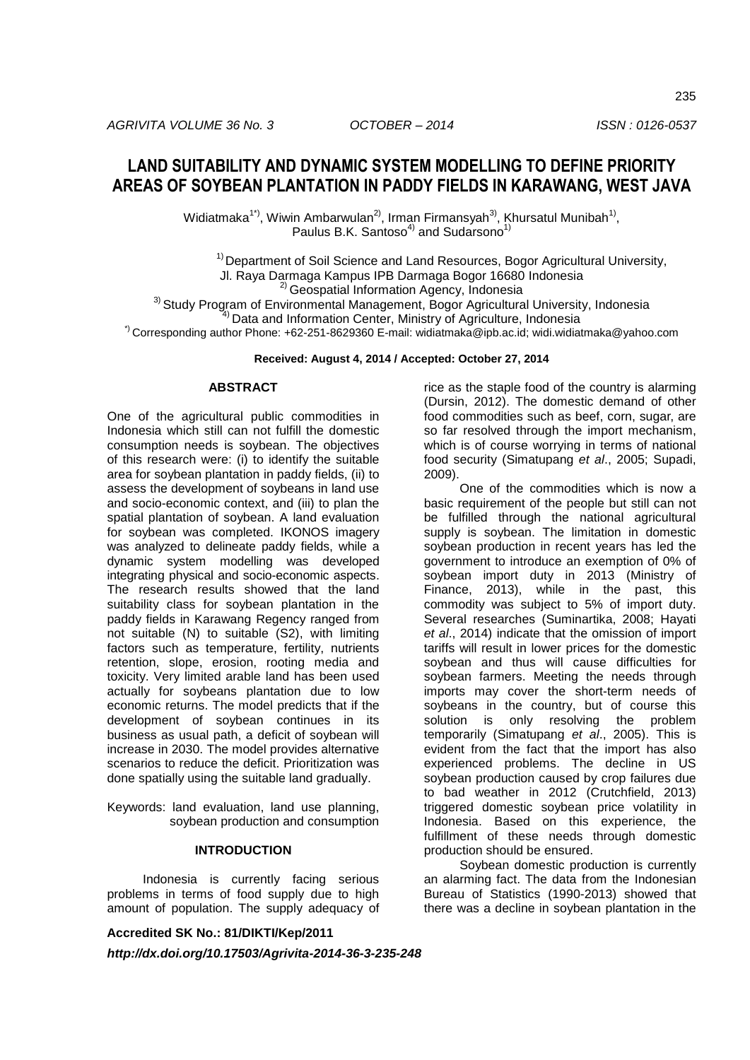Widiatmaka<sup>1\*)</sup>, Wiwin Ambarwulan<sup>2)</sup>, Irman Firmansyah<sup>3)</sup>, Khursatul Munibah<sup>1)</sup>, Paulus B.K. Santoso<sup>4)</sup> and Sudarsono<sup>1)</sup>

 $1)$ Department of Soil Science and Land Resources, Bogor Agricultural University,

Jl. Raya Darmaga Kampus IPB Darmaga Bogor 16680 Indonesia

2) Geospatial Information Agency, Indonesia

<sup>3)</sup> Study Program of Environmental Management, Bogor Agricultural University, Indonesia

<sup>4)</sup> Data and Information Center, Ministry of Agriculture, Indonesia

\*) Corresponding author Phone: +62-251-8629360 E-mail: widiatmaka@ipb.ac.id; widi.widiatmaka@yahoo.com

### **Received: August 4, 2014 / Accepted: October 27, 2014**

### **ABSTRACT**

One of the agricultural public commodities in Indonesia which still can not fulfill the domestic consumption needs is soybean. The objectives of this research were: (i) to identify the suitable area for soybean plantation in paddy fields, (ii) to assess the development of soybeans in land use and socio-economic context, and (iii) to plan the spatial plantation of soybean. A land evaluation for soybean was completed. IKONOS imagery was analyzed to delineate paddy fields, while a dynamic system modelling was developed integrating physical and socio-economic aspects. The research results showed that the land suitability class for soybean plantation in the paddy fields in Karawang Regency ranged from not suitable (N) to suitable (S2), with limiting factors such as temperature, fertility, nutrients retention, slope, erosion, rooting media and toxicity. Very limited arable land has been used actually for soybeans plantation due to low economic returns. The model predicts that if the development of soybean continues in its business as usual path, a deficit of soybean will increase in 2030. The model provides alternative scenarios to reduce the deficit. Prioritization was done spatially using the suitable land gradually.

Keywords: land evaluation, land use planning, soybean production and consumption

# **INTRODUCTION**

Indonesia is currently facing serious problems in terms of food supply due to high amount of population. The supply adequacy of

**Accredited SK No.: 81/DIKTI/Kep/2011**

*http://dx.doi.org/10.17503/Agrivita-2014-36-3-235-248*

rice as the staple food of the country is alarming (Dursin, 2012). The domestic demand of other food commodities such as beef, corn, sugar, are so far resolved through the import mechanism, which is of course worrying in terms of national food security (Simatupang *et al*., 2005; Supadi, 2009).

One of the commodities which is now a basic requirement of the people but still can not be fulfilled through the national agricultural supply is soybean. The limitation in domestic soybean production in recent years has led the government to introduce an exemption of 0% of soybean import duty in 2013 (Ministry of Finance, 2013), while in the past, this commodity was subject to 5% of import duty. Several researches (Suminartika, 2008; Hayati *et al*., 2014) indicate that the omission of import tariffs will result in lower prices for the domestic soybean and thus will cause difficulties for soybean farmers. Meeting the needs through imports may cover the short-term needs of soybeans in the country, but of course this solution is only resolving the problem temporarily (Simatupang *et al*., 2005). This is evident from the fact that the import has also experienced problems. The decline in US soybean production caused by crop failures due to bad weather in 2012 (Crutchfield, 2013) triggered domestic soybean price volatility in Indonesia. Based on this experience, the fulfillment of these needs through domestic production should be ensured.

Soybean domestic production is currently an alarming fact. The data from the Indonesian Bureau of Statistics (1990-2013) showed that there was a decline in soybean plantation in the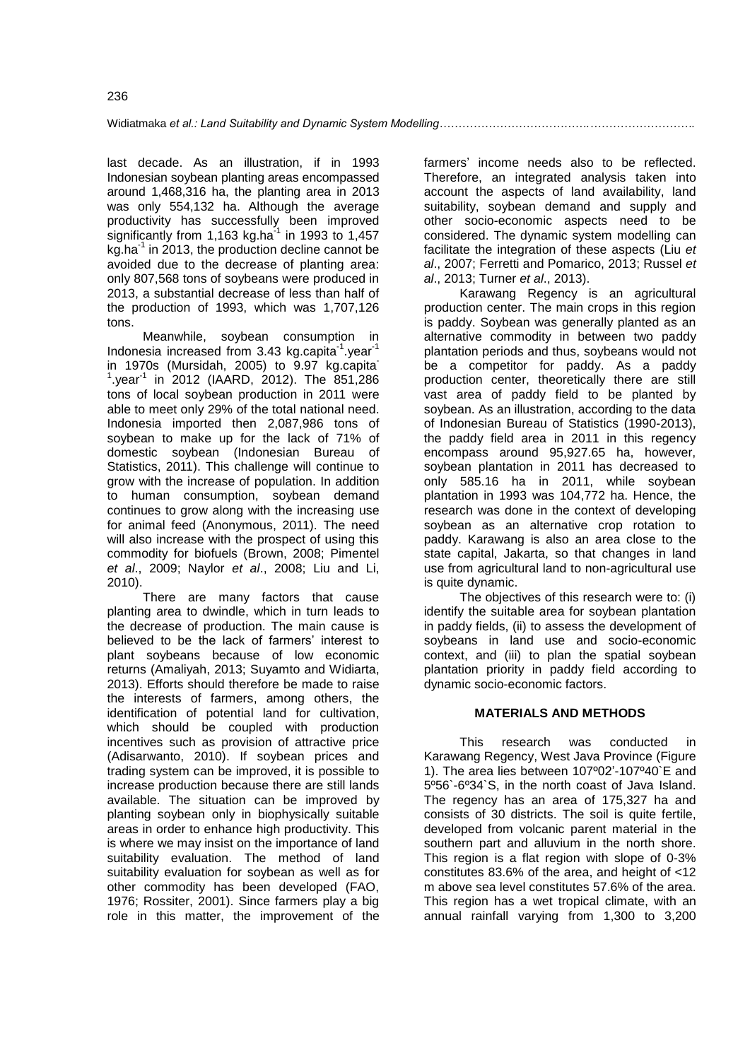last decade. As an illustration, if in 1993 Indonesian soybean planting areas encompassed around 1,468,316 ha, the planting area in 2013 was only 554,132 ha. Although the average productivity has successfully been improved significantly from 1,163 kg.ha $^{-1}$  in 1993 to 1,457 kg.ha<sup>1</sup> in 2013, the production decline cannot be avoided due to the decrease of planting area: only 807,568 tons of soybeans were produced in 2013, a substantial decrease of less than half of the production of 1993, which was 1,707,126 tons.

Meanwhile, soybean consumption in Indonesia increased from 3.43 kg.capita<sup>-1</sup>.year<sup>-1</sup> in 1970s (Mursidah, 2005) to 9.97 kg.capita- $1$ , year $1$  in 2012 (IAARD, 2012). The 851, 286 tons of local soybean production in 2011 were able to meet only 29% of the total national need. Indonesia imported then 2,087,986 tons of soybean to make up for the lack of 71% of domestic soybean (Indonesian Bureau of Statistics, 2011). This challenge will continue to grow with the increase of population. In addition to human consumption, soybean demand continues to grow along with the increasing use for animal feed (Anonymous, 2011). The need will also increase with the prospect of using this commodity for biofuels (Brown, 2008; Pimentel *et al*., 2009; Naylor *et al*., 2008; Liu and Li, 2010).

There are many factors that cause planting area to dwindle, which in turn leads to the decrease of production. The main cause is believed to be the lack of farmers' interest to plant soybeans because of low economic returns (Amaliyah, 2013; Suyamto and Widiarta, 2013). Efforts should therefore be made to raise the interests of farmers, among others, the identification of potential land for cultivation, which should be coupled with production incentives such as provision of attractive price (Adisarwanto, 2010). If soybean prices and trading system can be improved, it is possible to increase production because there are still lands available. The situation can be improved by planting soybean only in biophysically suitable areas in order to enhance high productivity. This is where we may insist on the importance of land suitability evaluation. The method of land suitability evaluation for soybean as well as for other commodity has been developed (FAO, 1976; Rossiter, 2001). Since farmers play a big role in this matter, the improvement of the

farmers' income needs also to be reflected. Therefore, an integrated analysis taken into account the aspects of land availability, land suitability, soybean demand and supply and other socio-economic aspects need to be considered. The dynamic system modelling can facilitate the integration of these aspects (Liu *et al*., 2007; Ferretti and Pomarico, 2013; Russel *et al*., 2013; Turner *et al*., 2013).

Karawang Regency is an agricultural production center. The main crops in this region is paddy. Soybean was generally planted as an alternative commodity in between two paddy plantation periods and thus, soybeans would not be a competitor for paddy. As a paddy production center, theoretically there are still vast area of paddy field to be planted by soybean. As an illustration, according to the data of Indonesian Bureau of Statistics (1990-2013), the paddy field area in 2011 in this regency encompass around 95,927.65 ha, however, soybean plantation in 2011 has decreased to only 585.16 ha in 2011, while soybean plantation in 1993 was 104,772 ha. Hence, the research was done in the context of developing soybean as an alternative crop rotation to paddy. Karawang is also an area close to the state capital, Jakarta, so that changes in land use from agricultural land to non-agricultural use is quite dynamic.

The objectives of this research were to: (i) identify the suitable area for soybean plantation in paddy fields, (ii) to assess the development of soybeans in land use and socio-economic context, and (iii) to plan the spatial soybean plantation priority in paddy field according to dynamic socio-economic factors.

# **MATERIALS AND METHODS**

This research was conducted in Karawang Regency, West Java Province (Figure 1). The area lies between 107º02'-107º40`E and 5º56`-6º34`S, in the north coast of Java Island. The regency has an area of 175,327 ha and consists of 30 districts. The soil is quite fertile, developed from volcanic parent material in the southern part and alluvium in the north shore. This region is a flat region with slope of 0-3% constitutes 83.6% of the area, and height of <12 m above sea level constitutes 57.6% of the area. This region has a wet tropical climate, with an annual rainfall varying from 1,300 to 3,200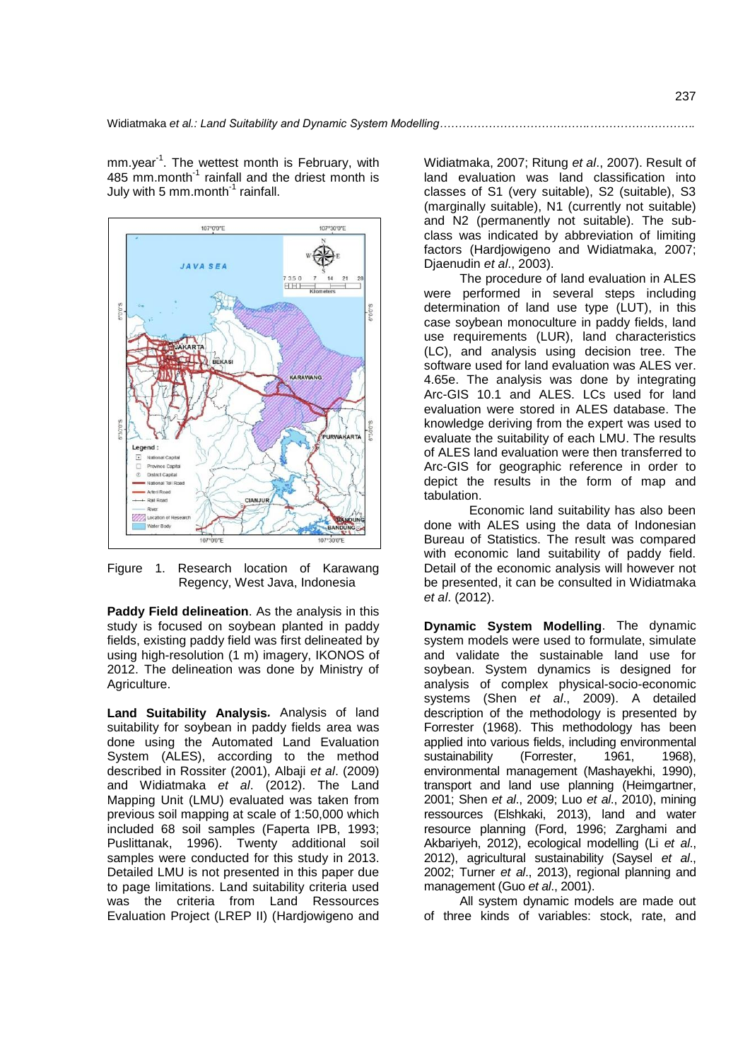mm.year<sup>-1</sup>. The wettest month is February, with 485 mm.month<sup>-1</sup> rainfall and the driest month is July with 5 mm.month<sup>-1</sup> rainfall.



Figure 1. Research location of Karawang Regency, West Java, Indonesia

**Paddy Field delineation**. As the analysis in this study is focused on soybean planted in paddy fields, existing paddy field was first delineated by using high-resolution (1 m) imagery, IKONOS of 2012. The delineation was done by Ministry of Agriculture.

**Land Suitability Analysis***.* Analysis of land suitability for soybean in paddy fields area was done using the Automated Land Evaluation System (ALES), according to the method described in Rossiter (2001), Albaji *et al*. (2009) and Widiatmaka *et al*. (2012). The Land Mapping Unit (LMU) evaluated was taken from previous soil mapping at scale of 1:50,000 which included 68 soil samples (Faperta IPB, 1993; Puslittanak, 1996). Twenty additional soil samples were conducted for this study in 2013. Detailed LMU is not presented in this paper due to page limitations. Land suitability criteria used was the criteria from Land Ressources Evaluation Project (LREP II) (Hardjowigeno and

Widiatmaka, 2007; Ritung *et al*., 2007). Result of land evaluation was land classification into classes of S1 (very suitable), S2 (suitable), S3 (marginally suitable), N1 (currently not suitable) and N2 (permanently not suitable). The subclass was indicated by abbreviation of limiting factors (Hardjowigeno and Widiatmaka, 2007; Djaenudin *et al*., 2003).

The procedure of land evaluation in ALES were performed in several steps including determination of land use type (LUT), in this case soybean monoculture in paddy fields, land use requirements (LUR), land characteristics (LC), and analysis using decision tree. The software used for land evaluation was ALES ver. 4.65e. The analysis was done by integrating Arc-GIS 10.1 and ALES. LCs used for land evaluation were stored in ALES database. The knowledge deriving from the expert was used to evaluate the suitability of each LMU. The results of ALES land evaluation were then transferred to Arc-GIS for geographic reference in order to depict the results in the form of map and tabulation.

Economic land suitability has also been done with ALES using the data of Indonesian Bureau of Statistics. The result was compared with economic land suitability of paddy field. Detail of the economic analysis will however not be presented, it can be consulted in Widiatmaka *et al*. (2012).

**Dynamic System Modelling**. The dynamic system models were used to formulate, simulate and validate the sustainable land use for soybean. System dynamics is designed for analysis of complex physical-socio-economic systems (Shen *et al*., 2009). A detailed description of the methodology is presented by Forrester (1968). This methodology has been applied into various fields, including environmental sustainability (Forrester, 1961, 1968). environmental management (Mashayekhi, 1990), transport and land use planning (Heimgartner, 2001; Shen *et al*., 2009; Luo *et al*., 2010), mining ressources (Elshkaki, 2013), land and water resource planning (Ford, 1996; Zarghami and Akbariyeh, 2012), ecological modelling (Li *et al*., 2012), agricultural sustainability (Saysel *et al*., 2002; Turner *et al*., 2013), regional planning and management (Guo *et al*., 2001).

All system dynamic models are made out of three kinds of variables: stock, rate, and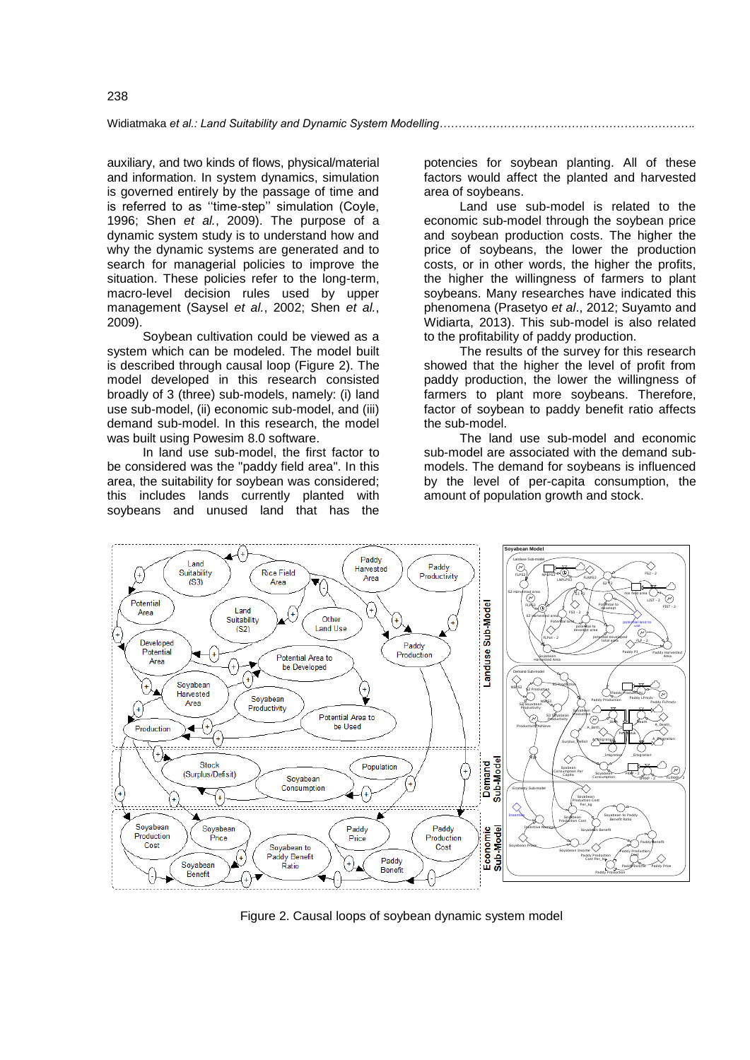Widiatmaka *et al.: Land Suitability and Dynamic System Modelling* 

auxiliary, and two kinds of flows, physical/material and information. In system dynamics, simulation is governed entirely by the passage of time and is referred to as ''time-step'' simulation (Coyle, 1996; Shen *et al.*, 2009). The purpose of a dynamic system study is to understand how and why the dynamic systems are generated and to search for managerial policies to improve the situation. These policies refer to the long-term, macro-level decision rules used by upper management (Saysel *et al.*, 2002; Shen *et al.*, 2009).

Soybean cultivation could be viewed as a system which can be modeled. The model built is described through causal loop (Figure 2). The model developed in this research consisted broadly of 3 (three) sub-models, namely: (i) land use sub-model, (ii) economic sub-model, and (iii) demand sub-model. In this research, the model was built using Powesim 8.0 software.

In land use sub-model, the first factor to be considered was the "paddy field area". In this area, the suitability for soybean was considered; this includes lands currently planted with soybeans and unused land that has the

potencies for soybean planting. All of these factors would affect the planted and harvested area of soybeans.

Land use sub-model is related to the economic sub-model through the soybean price and soybean production costs. The higher the price of soybeans, the lower the production costs, or in other words, the higher the profits, the higher the willingness of farmers to plant soybeans. Many researches have indicated this phenomena (Prasetyo *et al*., 2012; Suyamto and Widiarta, 2013). This sub-model is also related to the profitability of paddy production.

The results of the survey for this research showed that the higher the level of profit from paddy production, the lower the willingness of farmers to plant more soybeans. Therefore, factor of soybean to paddy benefit ratio affects the sub-model.

The land use sub-model and economic sub-model are associated with the demand submodels. The demand for soybeans is influenced by the level of per-capita consumption, the amount of population growth and stock.



Figure 2. Causal loops of soybean dynamic system model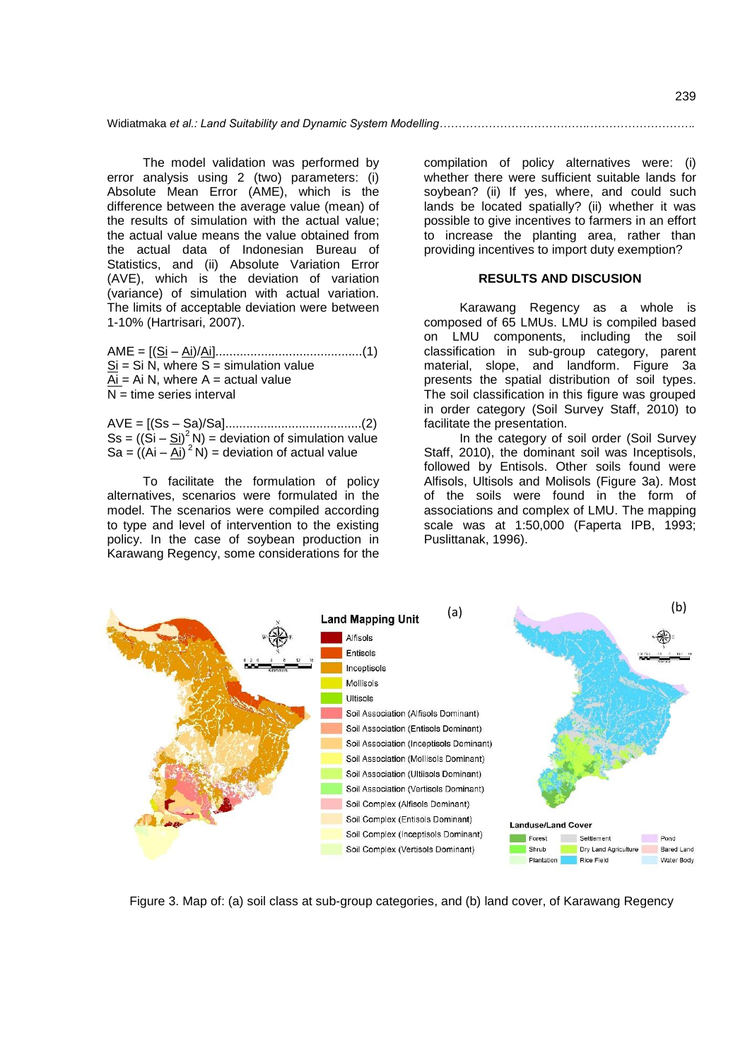The model validation was performed by error analysis using 2 (two) parameters: (i) Absolute Mean Error (AME), which is the difference between the average value (mean) of the results of simulation with the actual value; the actual value means the value obtained from the actual data of Indonesian Bureau of Statistics, and (ii) Absolute Variation Error (AVE), which is the deviation of variation (variance) of simulation with actual variation. The limits of acceptable deviation were between 1-10% (Hartrisari, 2007).

AME = [(Si – Ai)/Ai]..........................................(1)  $Si = Si N$ , where S = simulation value  $Ai = Ai N$ , where  $A = actual value$  $N =$  time series interval

AVE = [(Ss – Sa)/Sa].......................................(2)  $\text{Ss} = ((\hat{\text{Si}} - \hat{\text{Si}})^2 \text{N}) =$  deviation of simulation value Sa =  $\left( (\overline{Ai} - \overline{Ai})^2 N \right)$  = deviation of actual value

To facilitate the formulation of policy alternatives, scenarios were formulated in the model. The scenarios were compiled according to type and level of intervention to the existing policy. In the case of soybean production in Karawang Regency, some considerations for the

compilation of policy alternatives were: (i) whether there were sufficient suitable lands for soybean? (ii) If yes, where, and could such lands be located spatially? (ii) whether it was possible to give incentives to farmers in an effort to increase the planting area, rather than providing incentives to import duty exemption?

#### **RESULTS AND DISCUSION**

Karawang Regency as a whole is composed of 65 LMUs. LMU is compiled based on LMU components, including the soil classification in sub-group category, parent material, slope, and landform. Figure 3a presents the spatial distribution of soil types. The soil classification in this figure was grouped in order category (Soil Survey Staff, 2010) to facilitate the presentation.

In the category of soil order (Soil Survey Staff, 2010), the dominant soil was Inceptisols. followed by Entisols. Other soils found were Alfisols, Ultisols and Molisols (Figure 3a). Most of the soils were found in the form of associations and complex of LMU. The mapping scale was at 1:50,000 (Faperta IPB, 1993; Puslittanak, 1996).



Figure 3. Map of: (a) soil class at sub-group categories, and (b) land cover, of Karawang Regency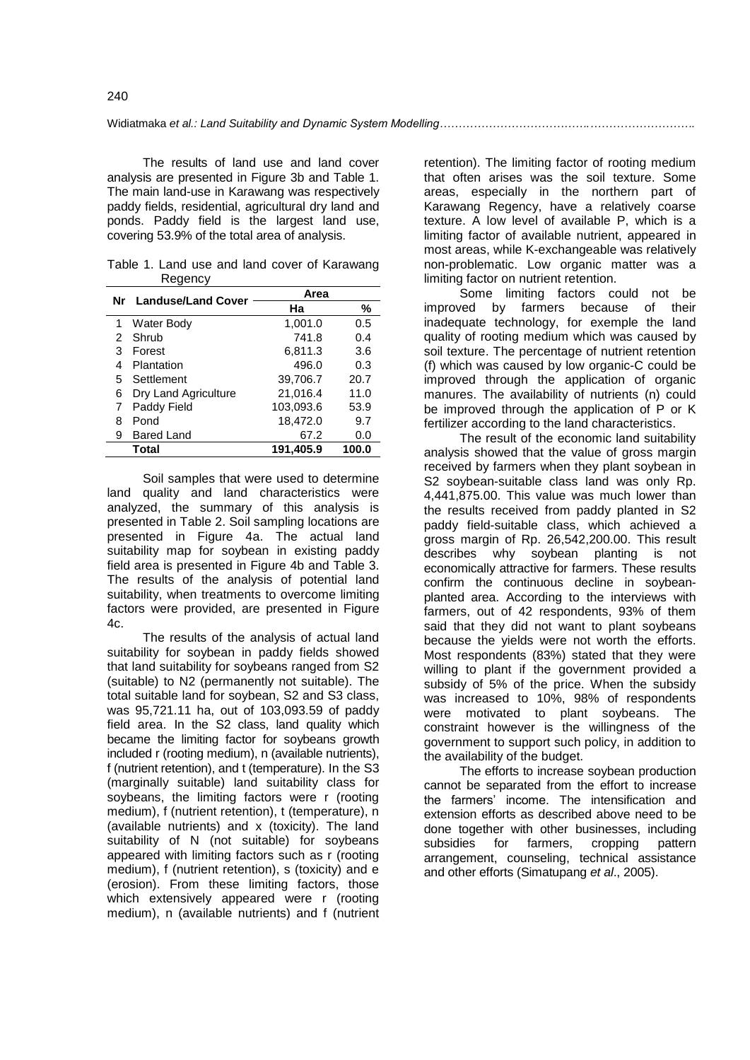The results of land use and land cover analysis are presented in Figure 3b and Table 1. The main land-use in Karawang was respectively paddy fields, residential, agricultural dry land and ponds. Paddy field is the largest land use, covering 53.9% of the total area of analysis.

Table 1. Land use and land cover of Karawang **Regency** 

|   | Nr Landuse/Land Cover | Area      |       |
|---|-----------------------|-----------|-------|
|   |                       | Ha        | ℅     |
| 1 | <b>Water Body</b>     | 1,001.0   | 0.5   |
| 2 | Shrub                 | 741.8     | 0.4   |
| 3 | Forest                | 6,811.3   | 3.6   |
| 4 | Plantation            | 496.0     | 0.3   |
| 5 | Settlement            | 39,706.7  | 20.7  |
| 6 | Dry Land Agriculture  | 21,016.4  | 11.0  |
| 7 | Paddy Field           | 103,093.6 | 53.9  |
| 8 | Pond                  | 18,472.0  | 9.7   |
| 9 | Bared Land            | 67.2      | 0.0   |
|   | Total                 | 191.405.9 | 100.0 |

Soil samples that were used to determine land quality and land characteristics were analyzed, the summary of this analysis is presented in Table 2. Soil sampling locations are presented in Figure 4a. The actual land suitability map for soybean in existing paddy field area is presented in Figure 4b and Table 3. The results of the analysis of potential land suitability, when treatments to overcome limiting factors were provided, are presented in Figure 4c.

The results of the analysis of actual land suitability for soybean in paddy fields showed that land suitability for soybeans ranged from S2 (suitable) to N2 (permanently not suitable). The total suitable land for soybean, S2 and S3 class, was 95,721.11 ha, out of 103,093.59 of paddy field area. In the S2 class, land quality which became the limiting factor for soybeans growth included r (rooting medium), n (available nutrients), f (nutrient retention), and t (temperature). In the S3 (marginally suitable) land suitability class for soybeans, the limiting factors were r (rooting medium), f (nutrient retention), t (temperature), n (available nutrients) and x (toxicity). The land suitability of N (not suitable) for soybeans appeared with limiting factors such as r (rooting medium), f (nutrient retention), s (toxicity) and e (erosion). From these limiting factors, those which extensively appeared were r (rooting medium), n (available nutrients) and f (nutrient

retention). The limiting factor of rooting medium that often arises was the soil texture. Some areas, especially in the northern part of Karawang Regency, have a relatively coarse texture. A low level of available P, which is a limiting factor of available nutrient, appeared in most areas, while K-exchangeable was relatively non-problematic. Low organic matter was a limiting factor on nutrient retention.

Some limiting factors could not be improved by farmers because of their inadequate technology, for exemple the land quality of rooting medium which was caused by soil texture. The percentage of nutrient retention (f) which was caused by low organic-C could be improved through the application of organic manures. The availability of nutrients (n) could be improved through the application of P or K fertilizer according to the land characteristics.

The result of the economic land suitability analysis showed that the value of gross margin received by farmers when they plant soybean in S2 soybean-suitable class land was only Rp. 4,441,875.00. This value was much lower than the results received from paddy planted in S2 paddy field-suitable class, which achieved a gross margin of Rp. 26,542,200.00. This result describes why soybean planting is not economically attractive for farmers. These results confirm the continuous decline in soybeanplanted area. According to the interviews with farmers, out of 42 respondents, 93% of them said that they did not want to plant soybeans because the yields were not worth the efforts. Most respondents (83%) stated that they were willing to plant if the government provided a subsidy of 5% of the price. When the subsidy was increased to 10%, 98% of respondents were motivated to plant soybeans. The constraint however is the willingness of the government to support such policy, in addition to the availability of the budget.

The efforts to increase soybean production cannot be separated from the effort to increase the farmers' income. The intensification and extension efforts as described above need to be done together with other businesses, including subsidies for farmers, cropping pattern arrangement, counseling, technical assistance and other efforts (Simatupang *et al*., 2005).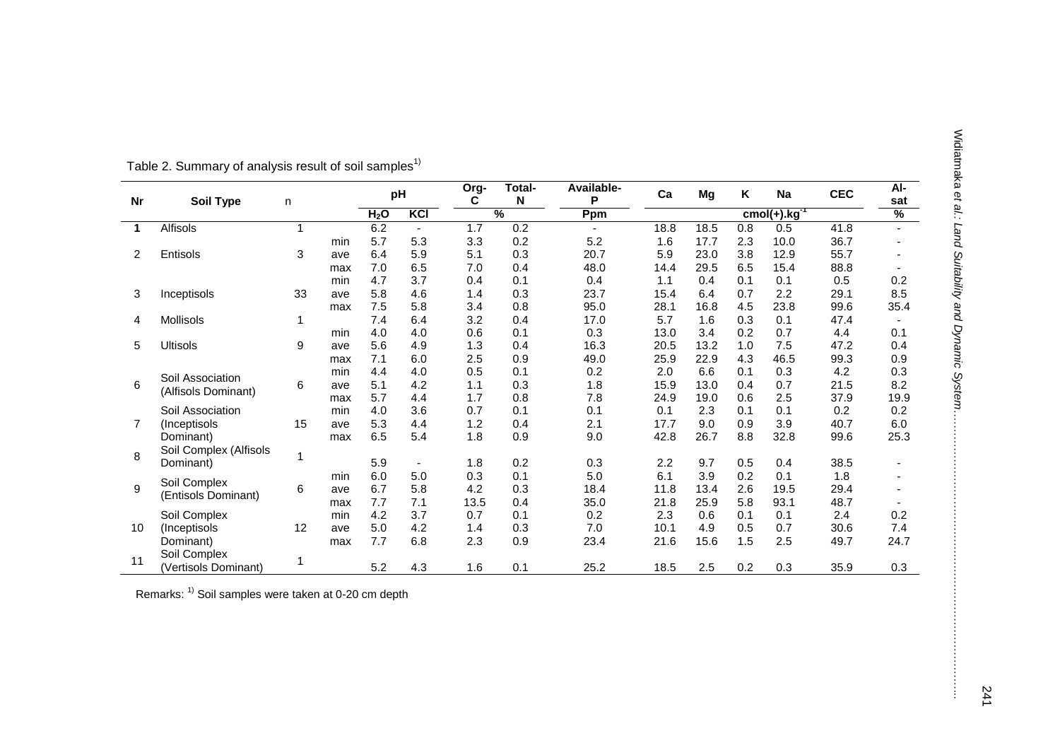| <b>Nr</b> | <b>Soil Type</b>       | n            |     |                  | pH             | Org-<br>C | Total-<br>N   | Available-<br>P | Ca   | Mg   | Κ   | Na                | <b>CEC</b> | $AI-$<br>sat   |
|-----------|------------------------|--------------|-----|------------------|----------------|-----------|---------------|-----------------|------|------|-----|-------------------|------------|----------------|
|           |                        |              |     | H <sub>2</sub> O | KCI            |           | $\frac{9}{6}$ | Ppm             |      |      |     | $cmol(+).kg^{-T}$ |            | $\frac{9}{6}$  |
| 1         | Alfisols               | $\mathbf{1}$ |     | 6.2              | $\blacksquare$ | 1.7       | 0.2           | $\sim$          | 18.8 | 18.5 | 0.8 | 0.5               | 41.8       | $\overline{a}$ |
|           |                        |              | min | 5.7              | 5.3            | 3.3       | 0.2           | 5.2             | 1.6  | 17.7 | 2.3 | 10.0              | 36.7       |                |
| 2         | Entisols               | 3            | ave | 6.4              | 5.9            | 5.1       | 0.3           | 20.7            | 5.9  | 23.0 | 3.8 | 12.9              | 55.7       |                |
|           |                        |              | max | 7.0              | 6.5            | 7.0       | 0.4           | 48.0            | 14.4 | 29.5 | 6.5 | 15.4              | 88.8       |                |
|           |                        |              | min | 4.7              | 3.7            | 0.4       | 0.1           | 0.4             | 1.1  | 0.4  | 0.1 | 0.1               | 0.5        | 0.2            |
| 3         | Inceptisols            | 33           | ave | 5.8              | 4.6            | 1.4       | 0.3           | 23.7            | 15.4 | 6.4  | 0.7 | 2.2               | 29.1       | 8.5            |
|           |                        |              | max | 7.5              | 5.8            | 3.4       | 0.8           | 95.0            | 28.1 | 16.8 | 4.5 | 23.8              | 99.6       | 35.4           |
| 4         | Mollisols              | 1            |     | 7.4              | 6.4            | 3.2       | 0.4           | 17.0            | 5.7  | 1.6  | 0.3 | 0.1               | 47.4       |                |
|           |                        |              | min | 4.0              | 4.0            | 0.6       | 0.1           | 0.3             | 13.0 | 3.4  | 0.2 | 0.7               | 4.4        | 0.1            |
| 5         | <b>Ultisols</b>        | 9            | ave | 5.6              | 4.9            | 1.3       | 0.4           | 16.3            | 20.5 | 13.2 | 1.0 | 7.5               | 47.2       | 0.4            |
|           |                        |              | max | 7.1              | 6.0            | 2.5       | 0.9           | 49.0            | 25.9 | 22.9 | 4.3 | 46.5              | 99.3       | 0.9            |
|           | Soil Association       |              | min | 4.4              | 4.0            | 0.5       | 0.1           | 0.2             | 2.0  | 6.6  | 0.1 | 0.3               | 4.2        | 0.3            |
| 6         |                        | 6            | ave | 5.1              | 4.2            | 1.1       | 0.3           | 1.8             | 15.9 | 13.0 | 0.4 | 0.7               | 21.5       | 8.2            |
|           | (Alfisols Dominant)    |              | max | 5.7              | 4.4            | 1.7       | 0.8           | 7.8             | 24.9 | 19.0 | 0.6 | 2.5               | 37.9       | 19.9           |
|           | Soil Association       |              | min | 4.0              | 3.6            | 0.7       | 0.1           | 0.1             | 0.1  | 2.3  | 0.1 | 0.1               | 0.2        | 0.2            |
| 7         | (Inceptisols           | 15           | ave | 5.3              | 4.4            | 1.2       | 0.4           | 2.1             | 17.7 | 9.0  | 0.9 | 3.9               | 40.7       | 6.0            |
|           | Dominant)              |              | max | 6.5              | 5.4            | 1.8       | 0.9           | 9.0             | 42.8 | 26.7 | 8.8 | 32.8              | 99.6       | 25.3           |
|           | Soil Complex (Alfisols |              |     |                  |                |           |               |                 |      |      |     |                   |            |                |
| 8         | 1<br>Dominant)         |              |     | 5.9              | $\blacksquare$ | 1.8       | 0.2           | 0.3             | 2.2  | 9.7  | 0.5 | 0.4               | 38.5       |                |
|           | Soil Complex           |              | min | 6.0              | 5.0            | 0.3       | 0.1           | 5.0             | 6.1  | 3.9  | 0.2 | 0.1               | 1.8        |                |
| 9         |                        | 6            | ave | 6.7              | 5.8            | 4.2       | 0.3           | 18.4            | 11.8 | 13.4 | 2.6 | 19.5              | 29.4       |                |
|           | (Entisols Dominant)    |              | max | 7.7              | 7.1            | 13.5      | 0.4           | 35.0            | 21.8 | 25.9 | 5.8 | 93.1              | 48.7       |                |
|           | Soil Complex           |              | min | 4.2              | 3.7            | 0.7       | 0.1           | 0.2             | 2.3  | 0.6  | 0.1 | 0.1               | 2.4        | 0.2            |
| 10        | (Inceptisols           | 12           | ave | 5.0              | 4.2            | 1.4       | 0.3           | 7.0             | 10.1 | 4.9  | 0.5 | 0.7               | 30.6       | 7.4            |
|           | Dominant)              |              | max | 7.7              | 6.8            | 2.3       | 0.9           | 23.4            | 21.6 | 15.6 | 1.5 | 2.5               | 49.7       | 24.7           |
|           | Soil Complex           |              |     |                  |                |           |               |                 |      |      |     |                   |            |                |
| 11        | (Vertisols Dominant)   | 1            |     | 5.2              | 4.3            | 1.6       | 0.1           | 25.2            | 18.5 | 2.5  | 0.2 | 0.3               | 35.9       | 0.3            |

Remarks: 1) Soil samples were taken at 0-20 cm depth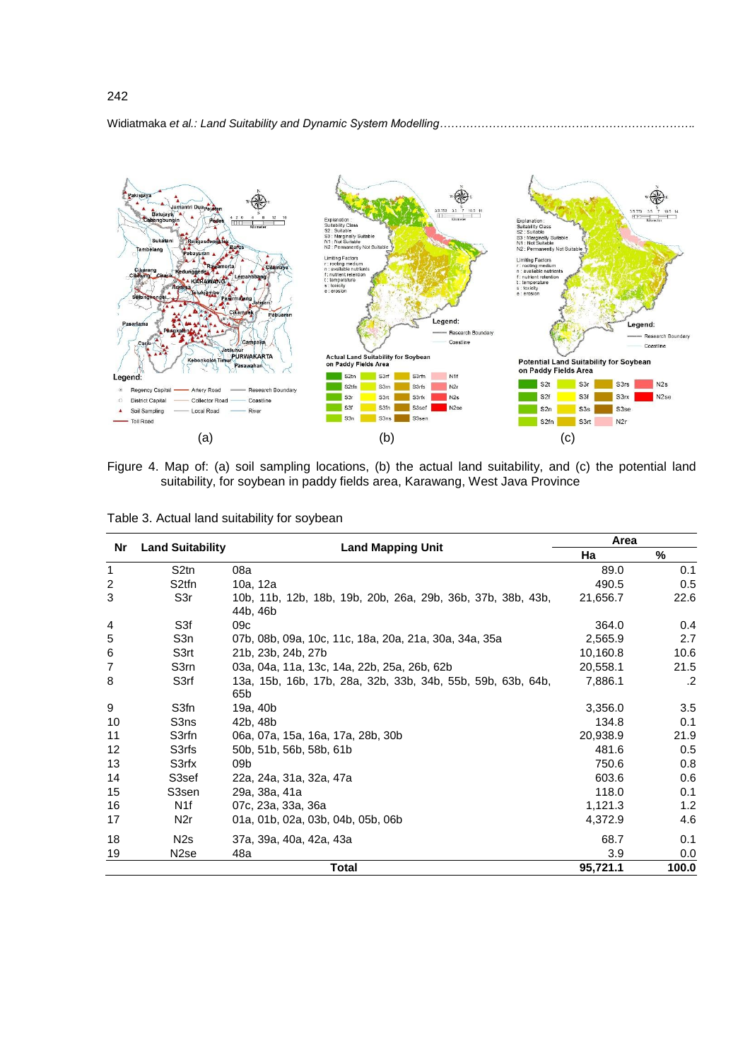![](_page_7_Figure_0.jpeg)

Figure 4. Map of: (a) soil sampling locations, (b) the actual land suitability, and (c) the potential land suitability, for soybean in paddy fields area, Karawang, West Java Province

| Table 3. Actual land suitability for soybean |  |  |
|----------------------------------------------|--|--|
|----------------------------------------------|--|--|

| Nr             | <b>Land Suitability</b> |                                                                         | Area     |       |  |
|----------------|-------------------------|-------------------------------------------------------------------------|----------|-------|--|
|                |                         | <b>Land Mapping Unit</b>                                                | Ha       | $\%$  |  |
| 1              | S <sub>2tn</sub>        | 08a                                                                     | 89.0     | 0.1   |  |
| $\overline{c}$ | S <sub>2</sub> tfn      | 10a, 12a                                                                | 490.5    | 0.5   |  |
| 3              | S3r                     | 10b, 11b, 12b, 18b, 19b, 20b, 26a, 29b, 36b, 37b, 38b, 43b,<br>44b, 46b | 21,656.7 | 22.6  |  |
| 4              | S <sub>3f</sub>         | 09c                                                                     | 364.0    | 0.4   |  |
| 5              | S3n                     | 07b, 08b, 09a, 10c, 11c, 18a, 20a, 21a, 30a, 34a, 35a                   | 2,565.9  | 2.7   |  |
| 6              | S3rt                    | 21b, 23b, 24b, 27b                                                      | 10,160.8 | 10.6  |  |
| $\overline{7}$ | S3rn                    | 03a, 04a, 11a, 13c, 14a, 22b, 25a, 26b, 62b                             | 20,558.1 | 21.5  |  |
| 8              | S3rf                    | 13a, 15b, 16b, 17b, 28a, 32b, 33b, 34b, 55b, 59b, 63b, 64b,<br>65b      | 7,886.1  | .2    |  |
| 9              | S3fn                    | 19a, 40b                                                                | 3,356.0  | 3.5   |  |
| 10             | S3ns                    | 42b, 48b                                                                | 134.8    | 0.1   |  |
| 11             | S3rfn                   | 06a, 07a, 15a, 16a, 17a, 28b, 30b                                       | 20,938.9 | 21.9  |  |
| 12             | S3rfs                   | 50b, 51b, 56b, 58b, 61b                                                 | 481.6    | 0.5   |  |
| 13             | S3rfx                   | 09 <sub>b</sub>                                                         | 750.6    | 0.8   |  |
| 14             | S3sef                   | 22a, 24a, 31a, 32a, 47a                                                 | 603.6    | 0.6   |  |
| 15             | S3sen                   | 29a, 38a, 41a                                                           | 118.0    | 0.1   |  |
| 16             | N <sub>1f</sub>         | 07c, 23a, 33a, 36a                                                      | 1,121.3  | 1.2   |  |
| 17             | N <sub>2r</sub>         | 01a, 01b, 02a, 03b, 04b, 05b, 06b                                       | 4,372.9  | 4.6   |  |
| 18             | N <sub>2s</sub>         | 37a, 39a, 40a, 42a, 43a                                                 | 68.7     | 0.1   |  |
| 19             | N <sub>2</sub> se       | 48a                                                                     | 3.9      | 0.0   |  |
|                |                         | <b>Total</b>                                                            | 95,721.1 | 100.0 |  |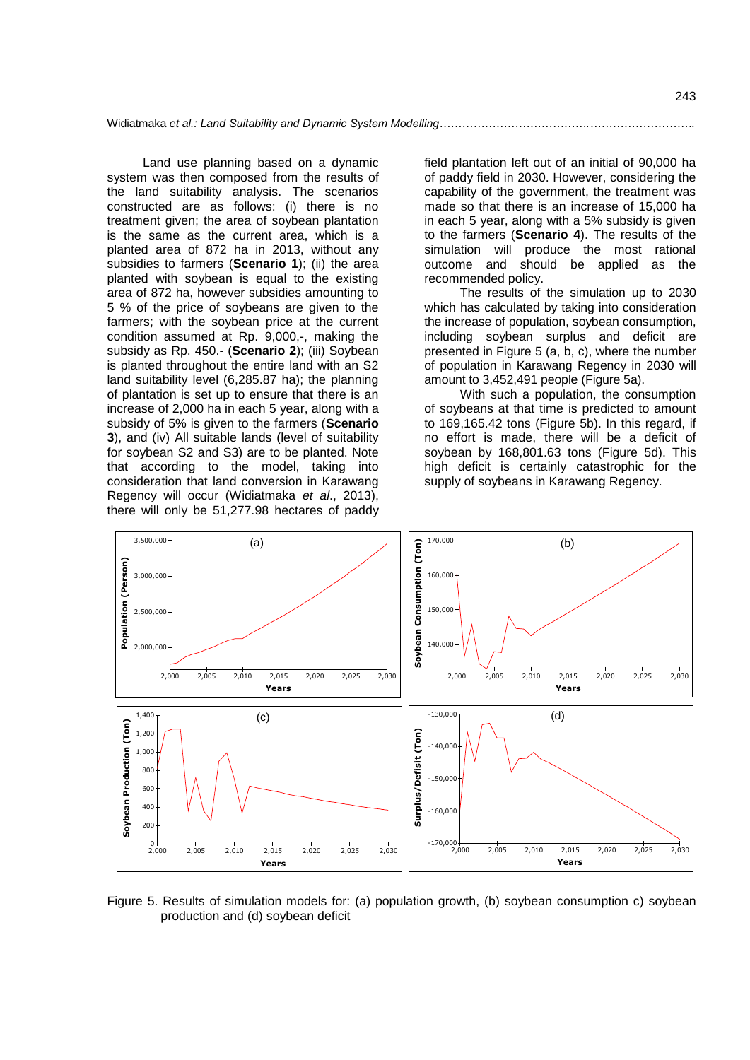Land use planning based on a dynamic system was then composed from the results of the land suitability analysis. The scenarios constructed are as follows: (i) there is no treatment given; the area of soybean plantation is the same as the current area, which is a planted area of 872 ha in 2013, without any subsidies to farmers (**Scenario 1**); (ii) the area planted with soybean is equal to the existing area of 872 ha, however subsidies amounting to 5 % of the price of soybeans are given to the farmers; with the soybean price at the current condition assumed at Rp. 9,000,-, making the subsidy as Rp. 450.- (**Scenario 2**); (iii) Soybean is planted throughout the entire land with an S2 land suitability level (6,285.87 ha); the planning of plantation is set up to ensure that there is an increase of 2,000 ha in each 5 year, along with a subsidy of 5% is given to the farmers (**Scenario 3**), and (iv) All suitable lands (level of suitability for soybean S2 and S3) are to be planted. Note that according to the model, taking into consideration that land conversion in Karawang Regency will occur (Widiatmaka *et al*., 2013), there will only be 51,277.98 hectares of paddy

field plantation left out of an initial of 90,000 ha of paddy field in 2030. However, considering the capability of the government, the treatment was made so that there is an increase of 15,000 ha in each 5 year, along with a 5% subsidy is given to the farmers (**Scenario 4**). The results of the simulation will produce the most rational outcome and should be applied as the recommended policy.

The results of the simulation up to 2030 which has calculated by taking into consideration the increase of population, soybean consumption, including soybean surplus and deficit are presented in Figure 5 (a, b, c), where the number of population in Karawang Regency in 2030 will amount to 3,452,491 people (Figure 5a).

With such a population, the consumption of soybeans at that time is predicted to amount to 169,165.42 tons (Figure 5b). In this regard, if no effort is made, there will be a deficit of soybean by 168,801.63 tons (Figure 5d). This high deficit is certainly catastrophic for the supply of soybeans in Karawang Regency.

![](_page_8_Figure_5.jpeg)

Figure 5. Results of simulation models for: (a) population growth, (b) soybean consumption c) soybean production and (d) soybean deficit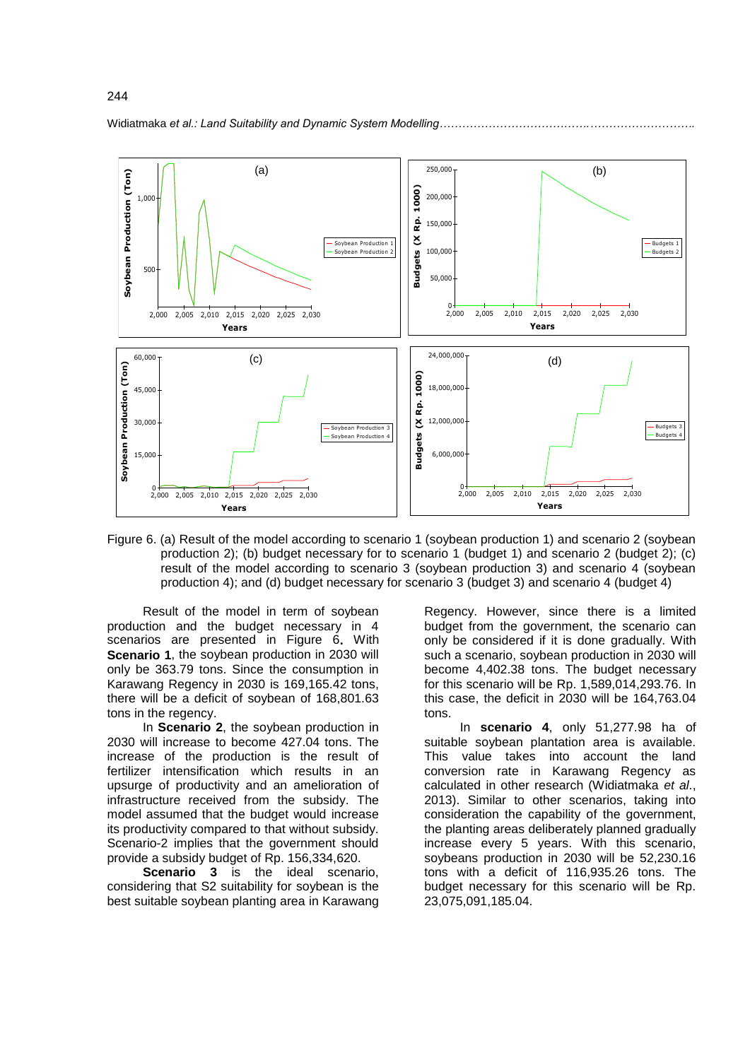![](_page_9_Figure_0.jpeg)

Figure 6. (a) Result of the model according to scenario 1 (soybean production 1) and scenario 2 (soybean production 2); (b) budget necessary for to scenario 1 (budget 1) and scenario 2 (budget 2); (c) result of the model according to scenario 3 (soybean production 3) and scenario 4 (soybean production 4); and (d) budget necessary for scenario 3 (budget 3) and scenario 4 (budget 4)

Result of the model in term of soybean production and the budget necessary in 4 scenarios are presented in Figure 6**.** With **Scenario 1**, the soybean production in 2030 will only be 363.79 tons. Since the consumption in Karawang Regency in 2030 is 169,165.42 tons, there will be a deficit of soybean of 168,801.63 tons in the regency.

In **Scenario 2**, the soybean production in 2030 will increase to become 427.04 tons. The increase of the production is the result of fertilizer intensification which results in an upsurge of productivity and an amelioration of infrastructure received from the subsidy. The model assumed that the budget would increase its productivity compared to that without subsidy. Scenario-2 implies that the government should provide a subsidy budget of Rp. 156,334,620.

**Scenario 3** is the ideal scenario, considering that S2 suitability for soybean is the best suitable soybean planting area in Karawang

Regency. However, since there is a limited budget from the government, the scenario can only be considered if it is done gradually. With such a scenario, soybean production in 2030 will become 4,402.38 tons. The budget necessary for this scenario will be Rp. 1,589,014,293.76. In this case, the deficit in 2030 will be 164,763.04 tons.

In **scenario 4**, only 51,277.98 ha of suitable soybean plantation area is available. This value takes into account the land conversion rate in Karawang Regency as calculated in other research (Widiatmaka *et al*., 2013). Similar to other scenarios, taking into consideration the capability of the government, the planting areas deliberately planned gradually increase every 5 years. With this scenario, soybeans production in 2030 will be 52,230.16 tons with a deficit of 116,935.26 tons. The budget necessary for this scenario will be Rp. 23,075,091,185.04.

Widiatmaka *et al.: Land Suitability and Dynamic System Modelling……*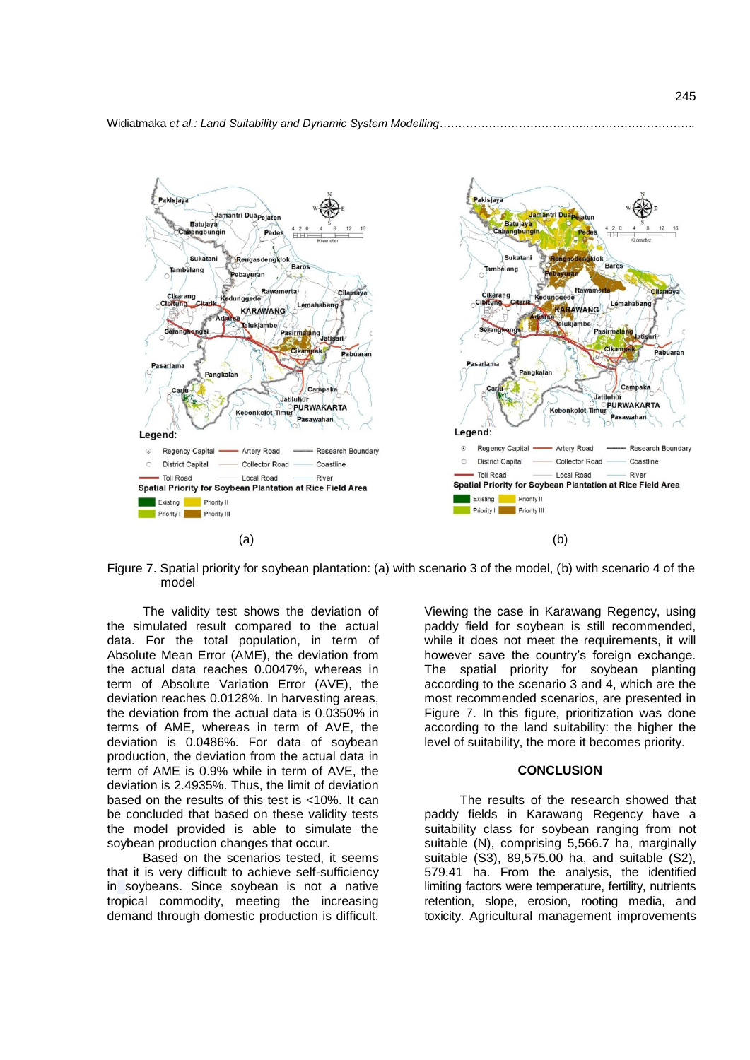![](_page_10_Figure_1.jpeg)

Figure 7. Spatial priority for soybean plantation: (a) with scenario 3 of the model, (b) with scenario 4 of the model

The validity test shows the deviation of the simulated result compared to the actual data. For the total population, in term of Absolute Mean Error (AME), the deviation from the actual data reaches 0.0047%, whereas in term of Absolute Variation Error (AVE), the deviation reaches 0.0128%. In harvesting areas, the deviation from the actual data is 0.0350% in terms of AME, whereas in term of AVE, the deviation is 0.0486%. For data of soybean production, the deviation from the actual data in term of AME is 0.9% while in term of AVE, the deviation is 2.4935%. Thus, the limit of deviation based on the results of this test is <10%. It can be concluded that based on these validity tests the model provided is able to simulate the soybean production changes that occur.

Based on the scenarios tested, it seems that it is very difficult to achieve self-sufficiency in soybeans. Since soybean is not a native tropical commodity, meeting the increasing demand through domestic production is difficult.

Viewing the case in Karawang Regency, using paddy field for soybean is still recommended, while it does not meet the requirements, it will however save the country's foreign exchange. The spatial priority for soybean planting according to the scenario 3 and 4, which are the most recommended scenarios, are presented in Figure 7. In this figure, prioritization was done according to the land suitability: the higher the level of suitability, the more it becomes priority.

### **CONCLUSION**

The results of the research showed that paddy fields in Karawang Regency have a suitability class for soybean ranging from not suitable (N), comprising 5,566.7 ha, marginally suitable (S3), 89,575.00 ha, and suitable (S2), 579.41 ha. From the analysis, the identified limiting factors were temperature, fertility, nutrients retention, slope, erosion, rooting media, and toxicity. Agricultural management improvements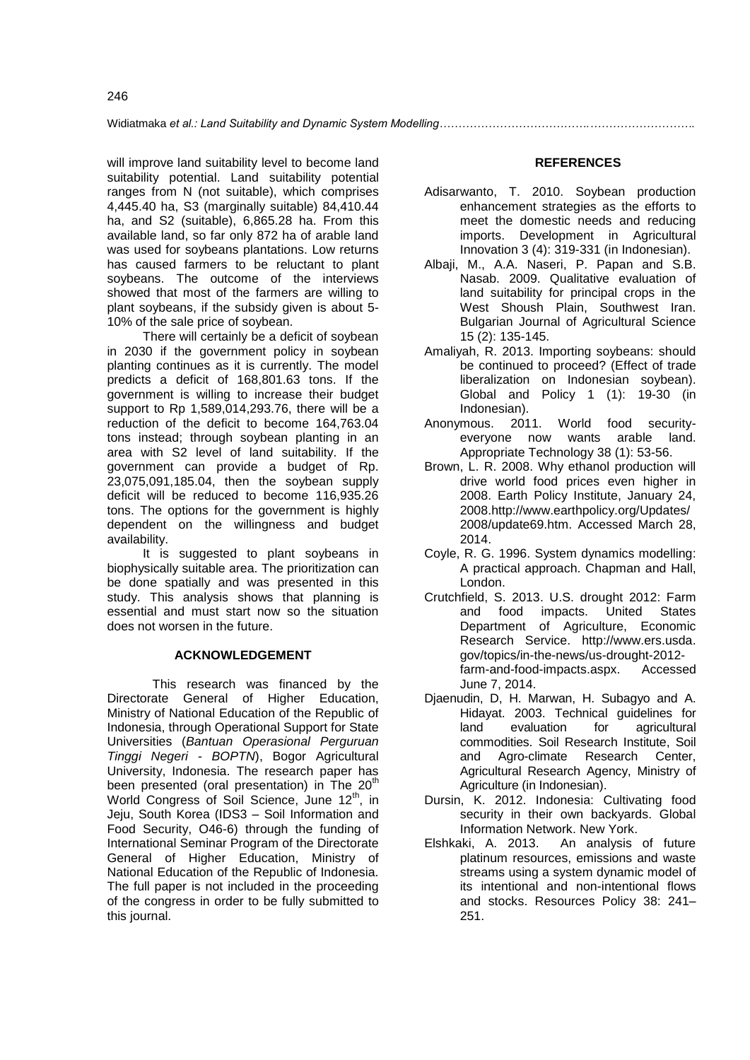will improve land suitability level to become land suitability potential. Land suitability potential ranges from N (not suitable), which comprises 4,445.40 ha, S3 (marginally suitable) 84,410.44 ha, and S2 (suitable), 6,865.28 ha. From this available land, so far only 872 ha of arable land was used for soybeans plantations. Low returns has caused farmers to be reluctant to plant soybeans. The outcome of the interviews showed that most of the farmers are willing to plant soybeans, if the subsidy given is about 5- 10% of the sale price of soybean.

There will certainly be a deficit of soybean in 2030 if the government policy in soybean planting continues as it is currently. The model predicts a deficit of 168,801.63 tons. If the government is willing to increase their budget support to Rp 1,589,014,293.76, there will be a reduction of the deficit to become 164,763.04 tons instead; through soybean planting in an area with S2 level of land suitability. If the government can provide a budget of Rp. 23,075,091,185.04, then the soybean supply deficit will be reduced to become 116,935.26 tons. The options for the government is highly dependent on the willingness and budget availability.

It is suggested to plant soybeans in biophysically suitable area. The prioritization can be done spatially and was presented in this study. This analysis shows that planning is essential and must start now so the situation does not worsen in the future.

# **ACKNOWLEDGEMENT**

This research was financed by the Directorate General of Higher Education, Ministry of National Education of the Republic of Indonesia, through Operational Support for State Universities (*Bantuan Operasional Perguruan Tinggi Negeri - BOPTN*), Bogor Agricultural University, Indonesia. The research paper has been presented (oral presentation) in The  $20<sup>th</sup>$ World Congress of Soil Science, June 12<sup>th</sup>, in Jeju, South Korea (IDS3 – Soil Information and Food Security, O46-6) through the funding of International Seminar Program of the Directorate General of Higher Education, Ministry of National Education of the Republic of Indonesia. The full paper is not included in the proceeding of the congress in order to be fully submitted to this journal.

# **REFERENCES**

- Adisarwanto, T. 2010. Soybean production enhancement strategies as the efforts to meet the domestic needs and reducing imports. Development in Agricultural Innovation 3 (4): 319-331 (in Indonesian).
- Albaji, M., A.A. Naseri, P. Papan and S.B. Nasab. 2009. Qualitative evaluation of land suitability for principal crops in the West Shoush Plain, Southwest Iran. Bulgarian Journal of Agricultural Science 15 (2): 135-145.
- Amaliyah, R. 2013. Importing soybeans: should be continued to proceed? (Effect of trade liberalization on Indonesian soybean). Global and Policy 1 (1): 19-30 (in Indonesian).
- Anonymous. 2011. World food securityeveryone now wants arable land. Appropriate Technology 38 (1): 53-56.
- Brown, L. R. 2008. Why ethanol production will drive world food prices even higher in 2008. Earth Policy Institute, January 24, 2008.http://www.earthpolicy.org/Updates/ 2008/update69.htm. Accessed March 28, 2014.
- Coyle, R. G. 1996. System dynamics modelling: A practical approach. Chapman and Hall, London.
- Crutchfield, S. 2013. U.S. drought 2012: Farm and food impacts. United States Department of Agriculture, Economic Research Service. [http://www.ers.usda.](http://www.ers.usda/) gov/topics/in-the-news/us-drought-2012 farm-and-food-impacts.aspx. Accessed June 7, 2014.
- Djaenudin, D, H. Marwan, H. Subagyo and A. Hidayat. 2003. Technical guidelines for land evaluation for agricultural commodities. Soil Research Institute, Soil and Agro-climate Research Center, Agricultural Research Agency, Ministry of Agriculture (in Indonesian).
- Dursin, K. 2012. Indonesia: Cultivating food security in their own backyards. Global Information Network. New York.
- Elshkaki, A. 2013. An analysis of future platinum resources, emissions and waste streams using a system dynamic model of its intentional and non-intentional flows and stocks. Resources Policy 38: 241– 251.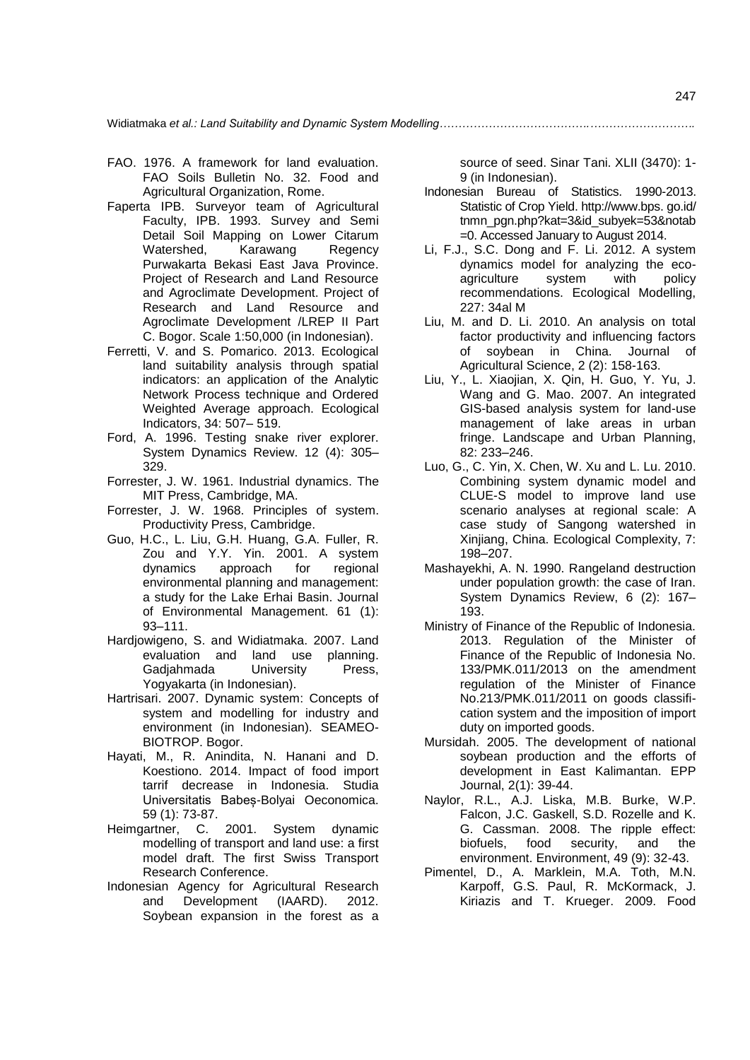- FAO. 1976. A framework for land evaluation. FAO Soils Bulletin No. 32. Food and Agricultural Organization, Rome.
- Faperta IPB. Surveyor team of Agricultural Faculty, IPB. 1993. Survey and Semi Detail Soil Mapping on Lower Citarum Watershed, Karawang Regency Purwakarta Bekasi East Java Province. Project of Research and Land Resource and Agroclimate Development. Project of Research and Land Resource and Agroclimate Development /LREP II Part C. Bogor. Scale 1:50,000 (in Indonesian).
- Ferretti, V. and S. Pomarico. 2013. Ecological land suitability analysis through spatial indicators: an application of the Analytic Network Process technique and Ordered Weighted Average approach. Ecological Indicators, 34: 507– 519.
- Ford, A. 1996. Testing snake river explorer. System Dynamics Review. 12 (4): 305– 329.
- Forrester, J. W. 1961. Industrial dynamics. The MIT Press, Cambridge, MA.
- Forrester, J. W. 1968. Principles of system. Productivity Press, Cambridge.
- Guo, H.C., L. Liu, G.H. Huang, G.A. Fuller, R. Zou and Y.Y. Yin. 2001. A system dynamics approach for regional environmental planning and management: a study for the Lake Erhai Basin. Journal of Environmental Management. 61 (1): 93–111.
- Hardjowigeno, S. and Widiatmaka. 2007. Land evaluation and land use planning. Gadjahmada University Press, Yogyakarta (in Indonesian).
- Hartrisari. 2007. Dynamic system: Concepts of system and modelling for industry and environment (in Indonesian). SEAMEO-BIOTROP. Bogor.
- Hayati, M., R. Anindita, N. Hanani and D. Koestiono. 2014. Impact of food import tarrif decrease in Indonesia. Studia Universitatis Babeș-Bolyai Oeconomica. 59 (1): 73-87.
- Heimgartner, C. 2001. System dynamic modelling of transport and land use: a first model draft. The first Swiss Transport Research Conference.
- Indonesian Agency for Agricultural Research and Development (IAARD). 2012. Soybean expansion in the forest as a

source of seed. Sinar Tani. XLII (3470): 1- 9 (in Indonesian).

- Indonesian Bureau of Statistics. 1990-2013. Statistic of Crop Yield. http://www.bps. go.id/ tnmn\_pgn.php?kat=3&id\_subyek=53&notab =0. Accessed January to August 2014.
- Li, F.J., S.C. Dong and F. Li. 2012. A system dynamics model for analyzing the ecoagriculture system with policy recommendations. Ecological Modelling, 227: 34al M
- Liu, M. and D. Li. 2010. An analysis on total factor productivity and influencing factors of soybean in China. Journal of Agricultural Science, 2 (2): 158-163.
- Liu, Y., L. Xiaojian, X. Qin, H. Guo, Y. Yu, J. Wang and G. Mao. 2007. An integrated GIS-based analysis system for land-use management of lake areas in urban fringe. Landscape and Urban Planning, 82: 233–246.
- Luo, G., C. Yin, X. Chen, W. Xu and L. Lu. 2010. Combining system dynamic model and CLUE-S model to improve land use scenario analyses at regional scale: A case study of Sangong watershed in Xinjiang, China. Ecological Complexity, 7: 198–207.
- Mashayekhi, A. N. 1990. Rangeland destruction under population growth: the case of Iran. System Dynamics Review, 6 (2): 167– 193.
- Ministry of Finance of the Republic of Indonesia. 2013. Regulation of the Minister of Finance of the Republic of Indonesia No. 133/PMK.011/2013 on the amendment regulation of the Minister of Finance No.213/PMK.011/2011 on goods classification system and the imposition of import duty on imported goods.
- Mursidah. 2005. The development of national soybean production and the efforts of development in East Kalimantan. EPP Journal, 2(1): 39-44.
- Naylor, R.L., A.J. Liska, M.B. Burke, W.P. Falcon, J.C. Gaskell, S.D. Rozelle and K. G. Cassman. 2008. The ripple effect: biofuels, food security, and the environment. Environment, 49 (9): 32-43.
- Pimentel, D., A. Marklein, M.A. Toth, M.N. Karpoff, G.S. Paul, R. McKormack, J. Kiriazis and T. Krueger. 2009. Food